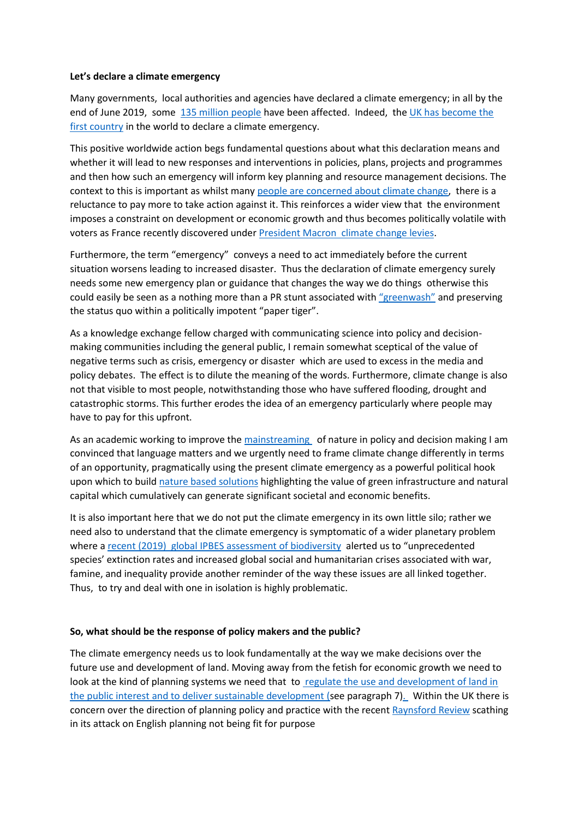## **Let's declare a climate emergency**

Many governments, local authorities and agencies have declared a climate emergency; in all by the end of June 2019, some [135 million people](https://climateemergencydeclaration.org/climate-emergency-declarations-cover-15-million-citizens/) have been affected. Indeed, the [UK has become the](https://theconversation.com/uk-becomes-first-country-to-declare-a-climate-emergency-116428)  [first country](https://theconversation.com/uk-becomes-first-country-to-declare-a-climate-emergency-116428) in the world to declare a climate emergency.

This positive worldwide action begs fundamental questions about what this declaration means and whether it will lead to new responses and interventions in policies, plans, projects and programmes and then how such an emergency will inform key planning and resource management decisions. The context to this is important as whilst many people [are concerned about](https://www.theguardian.com/environment/2019/jun/05/greta-thunberg-effect-public-concern-over-environment-reaches-record-high) climate change, there is a reluctance to pay more to take action against it. This reinforces a wider view that the environment imposes a constraint on development or economic growth and thus becomes politically volatile with voters as France recently discovered under [President Macron climate change levies.](https://www.theguardian.com/world/2018/dec/01/paris-france-protests-yellow-vests-gilets-jaunes-champs-elysees)

Furthermore, the term "emergency" conveys a need to act immediately before the current situation worsens leading to increased disaster. Thus the declaration of climate emergency surely needs some new emergency plan or guidance that changes the way we do things otherwise this could easily be seen as a nothing more than a PR stunt associated with ["greenwash"](https://www.theguardian.com/sustainable-business/2016/aug/20/greenwashing-environmentalism-lies-companies) and preserving the status quo within a politically impotent "paper tiger".

As a knowledge exchange fellow charged with communicating science into policy and decisionmaking communities including the general public, I remain somewhat sceptical of the value of negative terms such as crisis, emergency or disaster which are used to excess in the media and policy debates. The effect is to dilute the meaning of the words. Furthermore, climate change is also not that visible to most people, notwithstanding those who have suffered flooding, drought and catastrophic storms. This further erodes the idea of an emergency particularly where people may have to pay for this upfront.

As an academic working to improve the [mainstreaming](https://mainstreaminggreeninfrastructure.com/outputs-page.php?Mainstreaming_SpatialPlanning) of nature in policy and decision making I am convinced that language matters and we urgently need to frame climate change differently in terms of an opportunity, pragmatically using the present climate emergency as a powerful political hook upon which to buil[d nature based solutions](https://naturvation.eu/about) highlighting the value of green infrastructure and natural capital which cumulatively can generate significant societal and economic benefits.

It is also important here that we do not put the climate emergency in its own little silo; rather we need also to understand that the climate emergency is symptomatic of a wider planetary problem where [a recent \(2019\) global IPBES assessment of biodiversity](https://www.ipbes.net/news/Media-Release-Global-Assessment) alerted us to "unprecedented species' extinction rates and increased global social and humanitarian crises associated with war, famine, and inequality provide another reminder of the way these issues are all linked together. Thus, to try and deal with one in isolation is highly problematic.

## **So, what should be the response of policy makers and the public?**

The climate emergency needs us to look fundamentally at the way we make decisions over the future use and development of land. Moving away from the fetish for economic growth we need to look at the kind of planning systems we need that to regulate the use and development of land in [the public interest and to deliver sustainable development](https://assets.publishing.service.gov.uk/government/uploads/system/uploads/attachment_data/file/810197/NPPF_Feb_2019_revised.pdf) (see paragraph 7). Within the UK there is concern over the direction of planning policy and practice with the recent [Raynsford Review](https://www.tcpa.org.uk/raynsford-review) scathing in its attack on English planning not being fit for purpose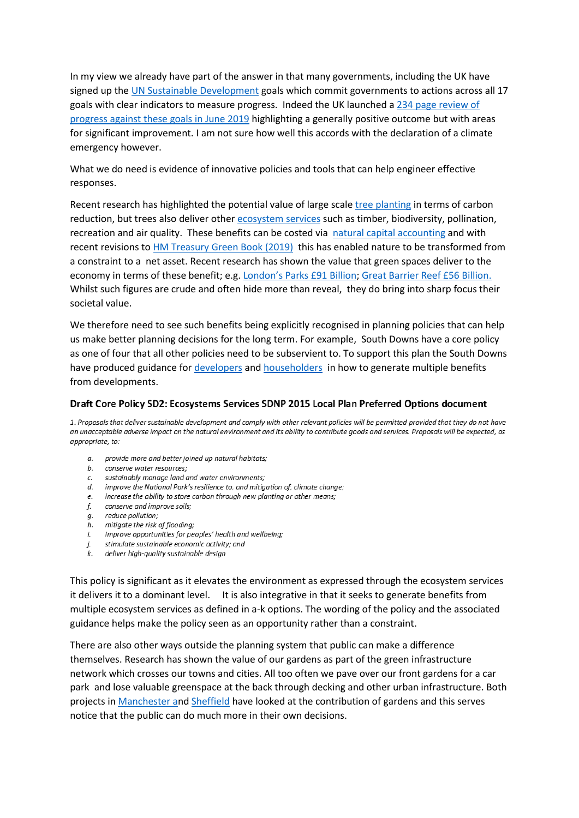In my view we already have part of the answer in that many governments, including the UK have signed up the [UN Sustainable Development](https://www.un.org/sustainabledevelopment/sustainable-development-goals/) goals which commit governments to actions across all 17 goals with clear indicators to measure progress. Indeed the UK launched a [234 page review of](https://assets.publishing.service.gov.uk/government/uploads/system/uploads/attachment_data/file/812482/VNR-document1.pdf)  progress against [these goals in June](https://assets.publishing.service.gov.uk/government/uploads/system/uploads/attachment_data/file/812482/VNR-document1.pdf) 2019 highlighting a generally positive outcome but with areas for significant improvement. I am not sure how well this accords with the declaration of a climate emergency however.

What we do need is evidence of innovative policies and tools that can help engineer effective responses.

Recent research has highlighted the potential value of large scale [tree planting](https://www.theguardian.com/environment/2019/jul/04/planting-billions-trees-best-tackle-climate-crisis-scientists-canopy-emissions) in terms of carbon reduction, but trees also deliver other [ecosystem](http://uknea.unep-wcmc.org/EcosystemAssessmentConcepts/EcosystemServices/tabid/103/Default.aspx) services such as timber, biodiversity, pollination, recreation and air quality. These benefits can be costed via [natural capital accounting](https://eftec.co.uk/project/%20%09accounting-uk-urban-natural-capital-account) and with recent revisions to HM [Treasury Green Book \(2019\)](https://assets.publishing.service.gov.uk/government/uploads/system/uploads/attachment_data/file/685903/The_Green_Book.pdf) this has enabled nature to be transformed from a constraint to a net asset. Recent research has shown the value that green spaces deliver to the economy in terms of these benefit; e.g. [London's Parks £91 Billion](https://www.london.gov.uk/sites/default/files/11015viv_natural_capital_account_for_london_v7_full_vis.pdf); [Great Barrier Reef £56 Billion.](https://naturalcapitalcoalition.org/what-is-the-real-value-of-the-great-barrier-reef/) Whilst such figures are crude and often hide more than reveal, they do bring into sharp focus their societal value.

We therefore need to see such benefits being explicitly recognised in planning policies that can help us make better planning decisions for the long term. For example, South Downs have a core policy as one of four that all other policies need to be subservient to. To support this plan the South Downs have produced guidance fo[r developers](https://www.southdowns.gov.uk/wp-content/uploads/2018/04/Core-07-Ecosystem-Services-Technical-Advice-Note-non-householder.pdf) and [householders](https://www.southdowns.gov.uk/wp-content/uploads/2018/04/Core-06-Ecosystem-Services-Technical-Advice-Note-householder.pdf) in how to generate multiple benefits from developments.

## Draft Core Policy SD2: Ecosystems Services SDNP 2015 Local Plan Preferred Options document

1. Proposals that deliver sustainable development and comply with other relevant policies will be permitted provided that they do not have an unacceptable adverse impact on the natural environment and its ability to contribute goods and services. Proposals will be expected, as appropriate, to:

- a. provide more and better joined up natural habitats;
- b. conserve water resources;
- c. sustainably manage land and water environments;
- c. sustainably manage iand and water environments;<br>d. improve the National Park's resilience to, and mitigation of, climate change;<br>e. increase the ability to store carbon through new planting or other means;<br>f. conserve a
- 
- 
- g. reduce pollution;
- h. mitigate the risk of flooding;
- improve opportunities for peoples' health and wellbeing; i.
- stimulate sustainable economic activity; and j.
- k. deliver high-quality sustainable design

This policy is significant as it elevates the environment as expressed through the ecosystem services it delivers it to a dominant level. It is also integrative in that it seeks to generate benefits from multiple ecosystem services as defined in a-k options. The wording of the policy and the associated guidance helps make the policy seen as an opportunity rather than a constraint.

There are also other ways outside the planning system that public can make a difference themselves. Research has shown the value of our gardens as part of the green infrastructure network which crosses our towns and cities. All too often we pave over our front gardens for a car park and lose valuable greenspace at the back through decking and other urban infrastructure. Both projects i[n Manchester an](http://mybackyard.org.uk/about.php)d [Sheffield](https://ij-healthgeographics.biomedcentral.com/articles/10.1186/s12942-018-0148-6) have looked at the contribution of gardens and this serves notice that the public can do much more in their own decisions.